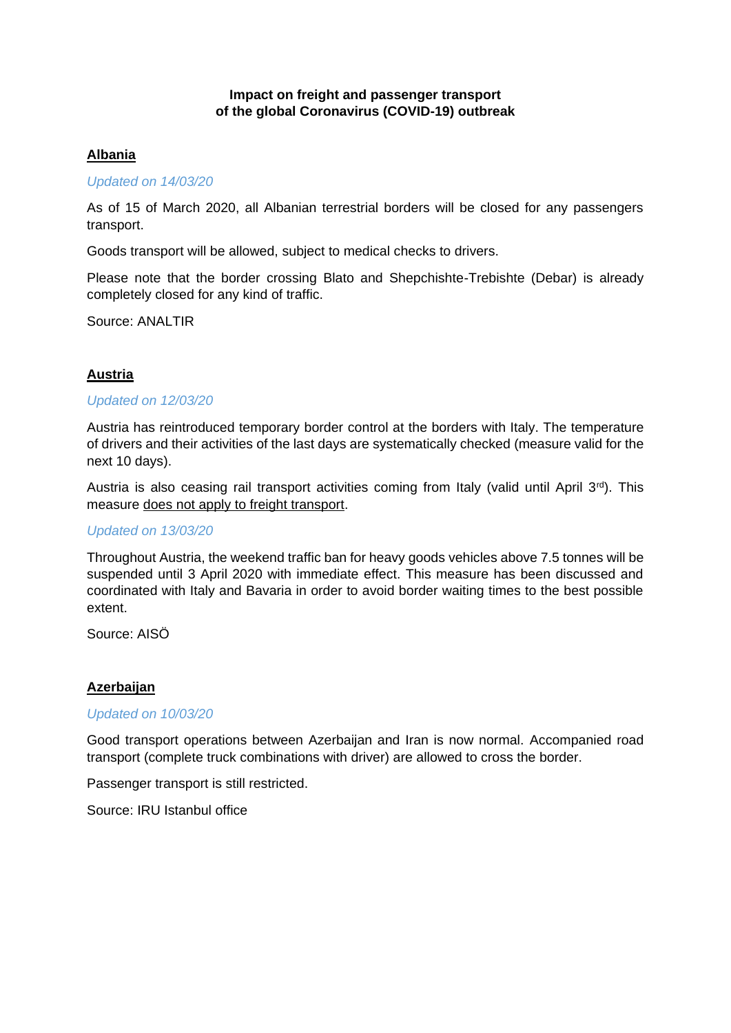#### **Impact on freight and passenger transport of the global Coronavirus (COVID-19) outbreak**

# **Albania**

#### *Updated on 14/03/20*

As of 15 of March 2020, all Albanian terrestrial borders will be closed for any passengers transport.

Goods transport will be allowed, subject to medical checks to drivers.

Please note that the border crossing Blato and Shepchishte-Trebishte (Debar) is already completely closed for any kind of traffic.

Source: ANALTIR

#### **Austria**

#### *Updated on 12/03/20*

Austria has reintroduced temporary border control at the borders with Italy. The temperature of drivers and their activities of the last days are systematically checked (measure valid for the next 10 days).

Austria is also ceasing rail transport activities coming from Italy (valid until April 3rd). This measure does not apply to freight transport.

#### *Updated on 13/03/20*

Throughout Austria, the weekend traffic ban for heavy goods vehicles above 7.5 tonnes will be suspended until 3 April 2020 with immediate effect. This measure has been discussed and coordinated with Italy and Bavaria in order to avoid border waiting times to the best possible extent.

Source: AISÖ

#### **Azerbaijan**

#### *Updated on 10/03/20*

Good transport operations between Azerbaijan and Iran is now normal. Accompanied road transport (complete truck combinations with driver) are allowed to cross the border.

Passenger transport is still restricted.

Source: IRU Istanbul office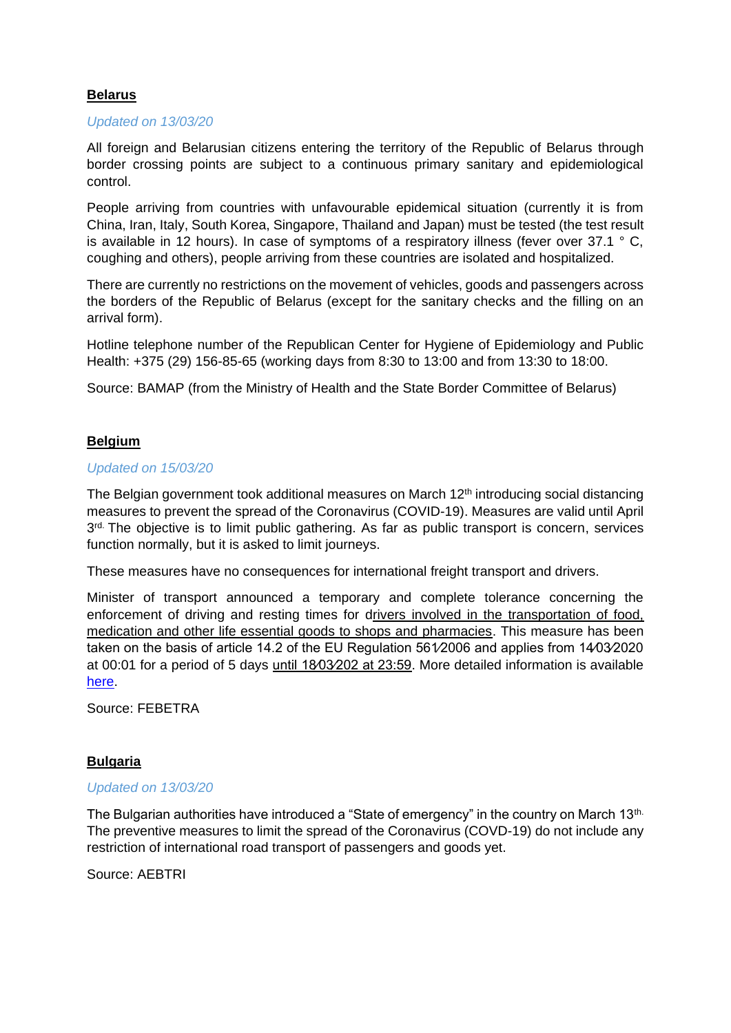# **Belarus**

#### *Updated on 13/03/20*

All foreign and Belarusian citizens entering the territory of the Republic of Belarus through border crossing points are subject to a continuous primary sanitary and epidemiological control.

People arriving from countries with unfavourable epidemical situation (currently it is from China, Iran, Italy, South Korea, Singapore, Thailand and Japan) must be tested (the test result is available in 12 hours). In case of symptoms of a respiratory illness (fever over  $37.1 \text{ }^{\circ}$  C, coughing and others), people arriving from these countries are isolated and hospitalized.

There are currently no restrictions on the movement of vehicles, goods and passengers across the borders of the Republic of Belarus (except for the sanitary checks and the filling on an arrival form).

Hotline telephone number of the Republican Center for Hygiene of Epidemiology and Public Health: +375 (29) 156-85-65 (working days from 8:30 to 13:00 and from 13:30 to 18:00.

Source: BAMAP (from the Ministry of Health and the State Border Committee of Belarus)

# **Belgium**

#### *Updated on 15/03/20*

The Belgian government took additional measures on March  $12<sup>th</sup>$  introducing social distancing measures to prevent the spread of the Coronavirus (COVID-19). Measures are valid until April 3<sup>rd.</sup> The objective is to limit public gathering. As far as public transport is concern, services function normally, but it is asked to limit journeys.

These measures have no consequences for international freight transport and drivers.

Minister of transport announced a temporary and complete tolerance concerning the enforcement of driving and resting times for drivers involved in the transportation of food, medication and other life essential goods to shops and pharmacies. This measure has been taken on the basis of article 14.2 of the EU Regulation 561/2006 and applies from 14/03/2020 at 00:01 for a period of 5 days until 18⁄03⁄202 at 23:59. More detailed information is available [here.](https://www.iru.org/apps/cms-filesystem-action?file=/flashinfo/Temporary%20lift%20of%20driving%20restrictions%20in%20Belgium%2015.03.20.pdf)

Source: FEBETRA

# **Bulgaria**

#### *Updated on 13/03/20*

The Bulgarian authorities have introduced a "State of emergency" in the country on March 13th. The preventive measures to limit the spread of the Coronavirus (COVD-19) do not include any restriction of international road transport of passengers and goods yet.

Source: AEBTRI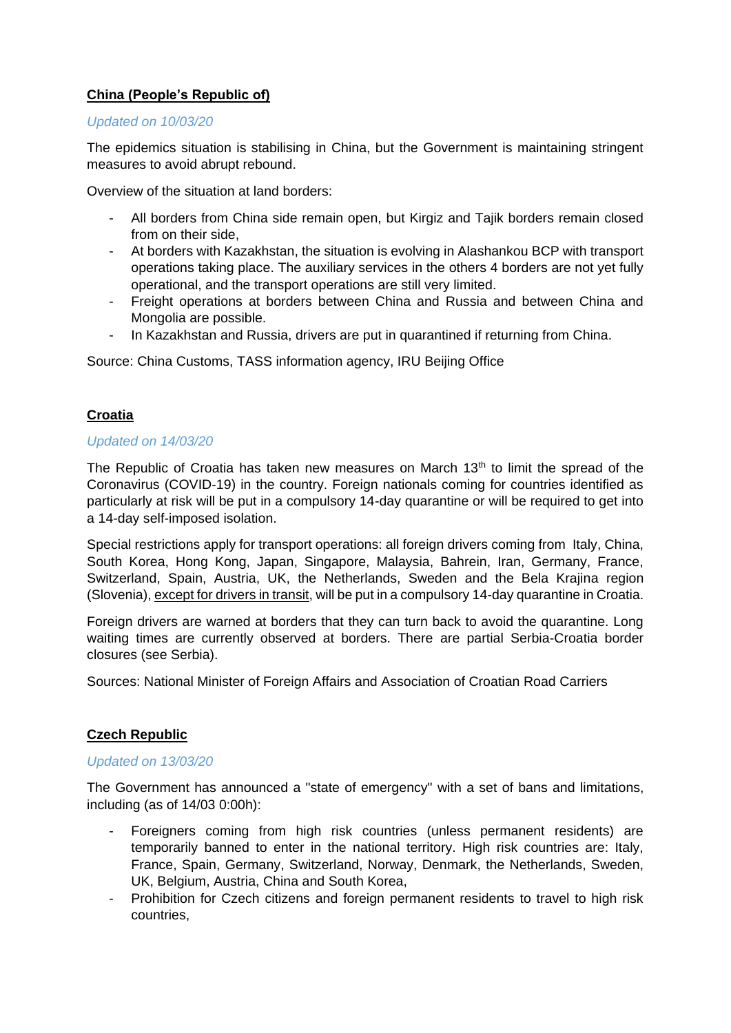# **China (People's Republic of)**

#### *Updated on 10/03/20*

The epidemics situation is stabilising in China, but the Government is maintaining stringent measures to avoid abrupt rebound.

Overview of the situation at land borders:

- All borders from China side remain open, but Kirgiz and Tajik borders remain closed from on their side,
- At borders with Kazakhstan, the situation is evolving in Alashankou BCP with transport operations taking place. The auxiliary services in the others 4 borders are not yet fully operational, and the transport operations are still very limited.
- Freight operations at borders between China and Russia and between China and Mongolia are possible.
- In Kazakhstan and Russia, drivers are put in quarantined if returning from China.

Source: China Customs, TASS information agency, IRU Beijing Office

# **Croatia**

#### *Updated on 14/03/20*

The Republic of Croatia has taken new measures on March  $13<sup>th</sup>$  to limit the spread of the Coronavirus (COVID-19) in the country. Foreign nationals coming for countries identified as particularly at risk will be put in a compulsory 14-day quarantine or will be required to get into a 14-day self-imposed isolation.

Special restrictions apply for transport operations: all foreign drivers coming from Italy, China, South Korea, Hong Kong, Japan, Singapore, Malaysia, Bahrein, Iran, Germany, France, Switzerland, Spain, Austria, UK, the Netherlands, Sweden and the Bela Krajina region (Slovenia), except for drivers in transit, will be put in a compulsory 14-day quarantine in Croatia.

Foreign drivers are warned at borders that they can turn back to avoid the quarantine. Long waiting times are currently observed at borders. There are partial Serbia-Croatia border closures (see Serbia).

Sources: National Minister of Foreign Affairs and Association of Croatian Road Carriers

# **Czech Republic**

#### *Updated on 13/03/20*

The Government has announced a "state of emergency" with a set of bans and limitations, including (as of 14/03 0:00h):

- Foreigners coming from high risk countries (unless permanent residents) are temporarily banned to enter in the national territory. High risk countries are: Italy, France, Spain, Germany, Switzerland, Norway, Denmark, the Netherlands, Sweden, UK, Belgium, Austria, China and South Korea,
- Prohibition for Czech citizens and foreign permanent residents to travel to high risk countries,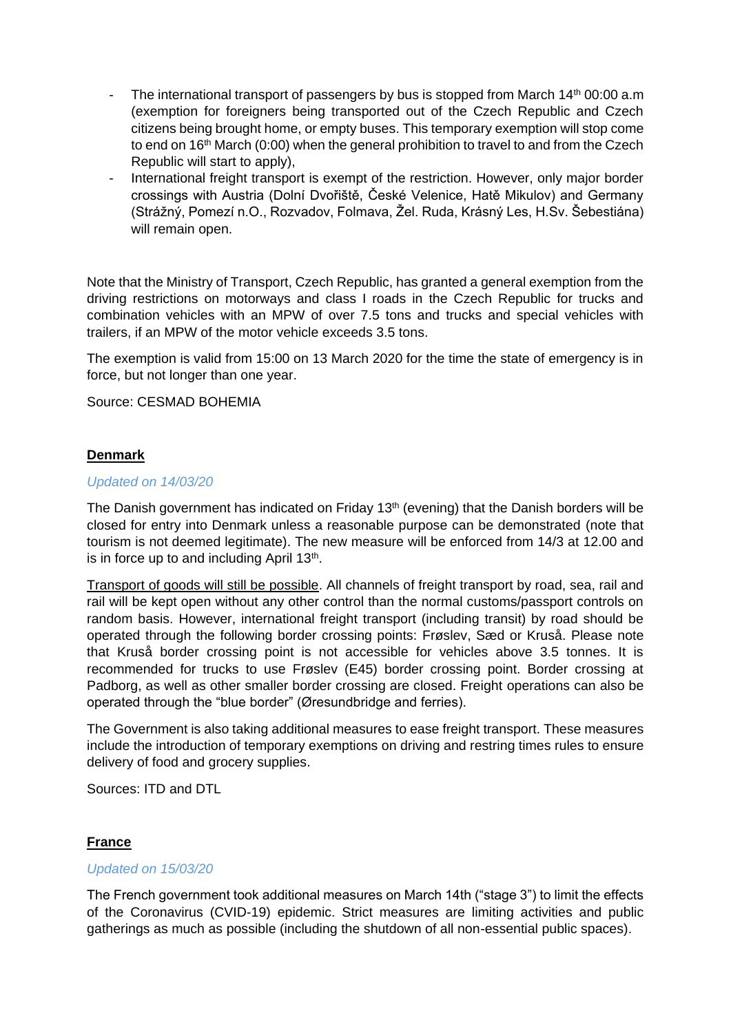- The international transport of passengers by bus is stopped from March  $14<sup>th</sup> 00:00$  a.m (exemption for foreigners being transported out of the Czech Republic and Czech citizens being brought home, or empty buses. This temporary exemption will stop come to end on 16<sup>th</sup> March (0:00) when the general prohibition to travel to and from the Czech Republic will start to apply),
- International freight transport is exempt of the restriction. However, only major border crossings with Austria (Dolní Dvořiště, České Velenice, Hatě Mikulov) and Germany (Strážný, Pomezí n.O., Rozvadov, Folmava, Žel. Ruda, Krásný Les, H.Sv. Šebestiána) will remain open.

Note that the Ministry of Transport, Czech Republic, has granted a general exemption from the driving restrictions on motorways and class I roads in the Czech Republic for trucks and combination vehicles with an MPW of over 7.5 tons and trucks and special vehicles with trailers, if an MPW of the motor vehicle exceeds 3.5 tons.

The exemption is valid from 15:00 on 13 March 2020 for the time the state of emergency is in force, but not longer than one year.

Source: CESMAD BOHEMIA

# **Denmark**

#### *Updated on 14/03/20*

The Danish government has indicated on Friday 13<sup>th</sup> (evening) that the Danish borders will be closed for entry into Denmark unless a reasonable purpose can be demonstrated (note that tourism is not deemed legitimate). The new measure will be enforced from 14/3 at 12.00 and is in force up to and including April 13<sup>th</sup>.

Transport of goods will still be possible. All channels of freight transport by road, sea, rail and rail will be kept open without any other control than the normal customs/passport controls on random basis. However, international freight transport (including transit) by road should be operated through the following border crossing points: Frøslev, Sæd or Kruså. Please note that Kruså border crossing point is not accessible for vehicles above 3.5 tonnes. It is recommended for trucks to use Frøslev (E45) border crossing point. Border crossing at Padborg, as well as other smaller border crossing are closed. Freight operations can also be operated through the "blue border" (Øresundbridge and ferries).

The Government is also taking additional measures to ease freight transport. These measures include the introduction of temporary exemptions on driving and restring times rules to ensure delivery of food and grocery supplies.

Sources: ITD and DTL

# **France**

# *Updated on 15/03/20*

The French government took additional measures on March 14th ("stage 3") to limit the effects of the Coronavirus (CVID-19) epidemic. Strict measures are limiting activities and public gatherings as much as possible (including the shutdown of all non-essential public spaces).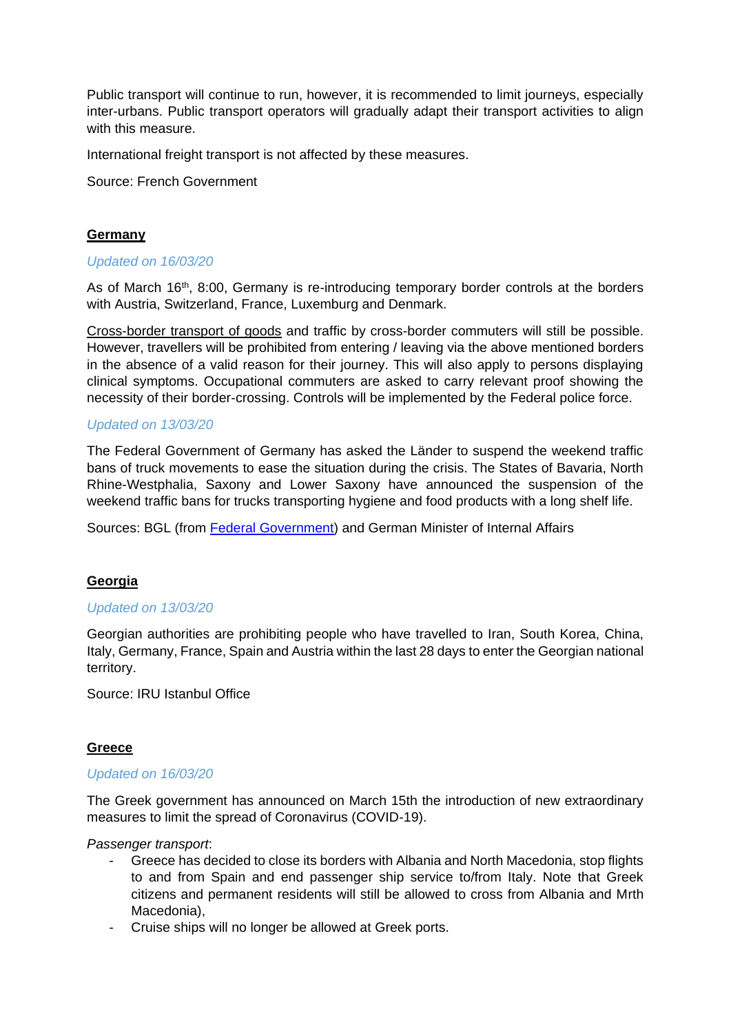Public transport will continue to run, however, it is recommended to limit journeys, especially inter-urbans. Public transport operators will gradually adapt their transport activities to align with this measure.

International freight transport is not affected by these measures.

Source: French Government

# **Germany**

#### *Updated on 16/03/20*

As of March 16<sup>th</sup>, 8:00, Germany is re-introducing temporary border controls at the borders with Austria, Switzerland, France, Luxemburg and Denmark.

Cross-border transport of goods and traffic by cross-border commuters will still be possible. However, travellers will be prohibited from entering / leaving via the above mentioned borders in the absence of a valid reason for their journey. This will also apply to persons displaying clinical symptoms. Occupational commuters are asked to carry relevant proof showing the necessity of their border-crossing. Controls will be implemented by the Federal police force.

# *Updated on 13/03/20*

The Federal Government of Germany has asked the Länder to suspend the weekend traffic bans of truck movements to ease the situation during the crisis. The States of Bavaria, North Rhine-Westphalia, Saxony and Lower Saxony have announced the suspension of the weekend traffic bans for trucks transporting hygiene and food products with a long shelf life.

Sources: BGL (from [Federal Government\)](https://www.bmi.bund.de/DE/startseite/startseite-node.html) and German Minister of Internal Affairs

# **Georgia**

#### *Updated on 13/03/20*

Georgian authorities are prohibiting people who have travelled to Iran, South Korea, China, Italy, Germany, France, Spain and Austria within the last 28 days to enter the Georgian national territory.

Source: IRU Istanbul Office

#### **Greece**

#### *Updated on 16/03/20*

The Greek government has announced on March 15th the introduction of new extraordinary measures to limit the spread of Coronavirus (COVID-19).

#### *Passenger transport*:

- Greece has decided to close its borders with Albania and North Macedonia, stop flights to and from Spain and end passenger ship service to/from Italy. Note that Greek citizens and permanent residents will still be allowed to cross from Albania and Mrth Macedonia),
- Cruise ships will no longer be allowed at Greek ports.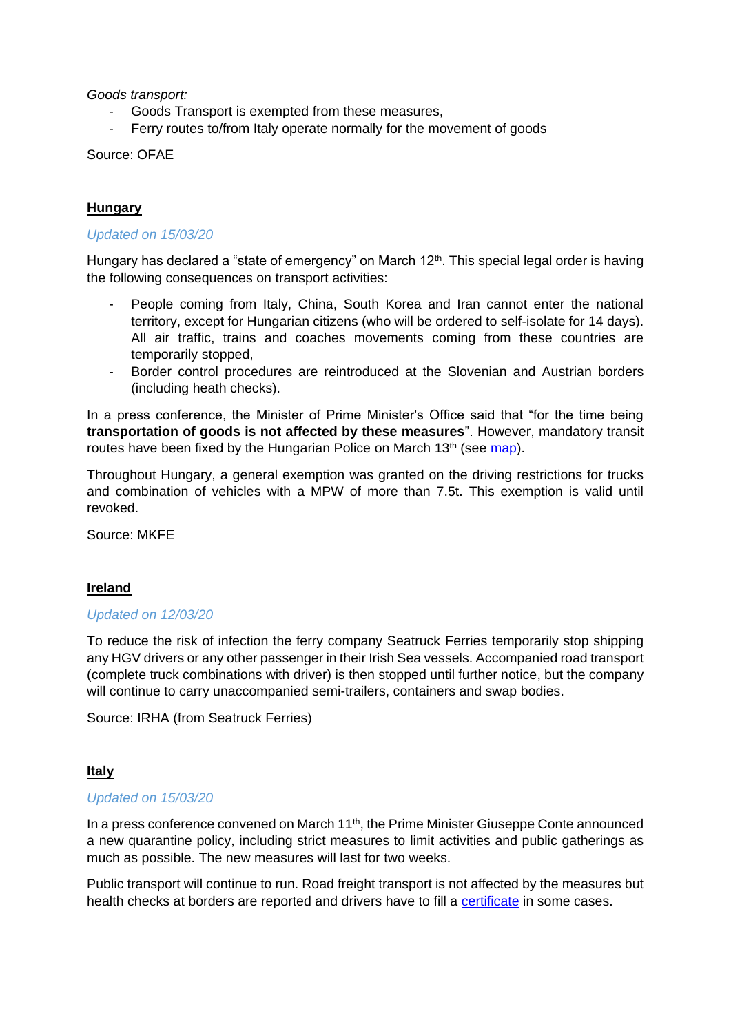*Goods transport:*

- Goods Transport is exempted from these measures,
- Ferry routes to/from Italy operate normally for the movement of goods

Source: OFAE

# **Hungary**

# *Updated on 15/03/20*

Hungary has declared a "state of emergency" on March 12<sup>th</sup>. This special legal order is having the following consequences on transport activities:

- People coming from Italy, China, South Korea and Iran cannot enter the national territory, except for Hungarian citizens (who will be ordered to self-isolate for 14 days). All air traffic, trains and coaches movements coming from these countries are temporarily stopped,
- Border control procedures are reintroduced at the Slovenian and Austrian borders (including heath checks).

In a press conference, the Minister of Prime Minister's Office said that "for the time being **transportation of goods is not affected by these measures**". However, mandatory transit routes have been fixed by the Hungarian Police on March  $13<sup>th</sup>$  (see [map\)](https://www.iru.org/apps/cms-filesystem-action?file=/flashinfo/Mandatory%20transit%20routes%2013.03.20.pdf).

Throughout Hungary, a general exemption was granted on the driving restrictions for trucks and combination of vehicles with a MPW of more than 7.5t. This exemption is valid until revoked.

Source: MKFE

# **Ireland**

# *Updated on 12/03/20*

To reduce the risk of infection the ferry company Seatruck Ferries temporarily stop shipping any HGV drivers or any other passenger in their Irish Sea vessels. Accompanied road transport (complete truck combinations with driver) is then stopped until further notice, but the company will continue to carry unaccompanied semi-trailers, containers and swap bodies.

Source: IRHA (from Seatruck Ferries)

# **Italy**

#### *Updated on 15/03/20*

In a press conference convened on March 11<sup>th</sup>, the Prime Minister Giuseppe Conte announced a new quarantine policy, including strict measures to limit activities and public gatherings as much as possible. The new measures will last for two weeks.

Public transport will continue to run. Road freight transport is not affected by the measures but health checks at borders are reported and drivers have to fill a [certificate](https://www.iru.org/apps/cms-filesystem-action?file=/flashinfo/Self-certification%20model_Italy.pdf) in some cases.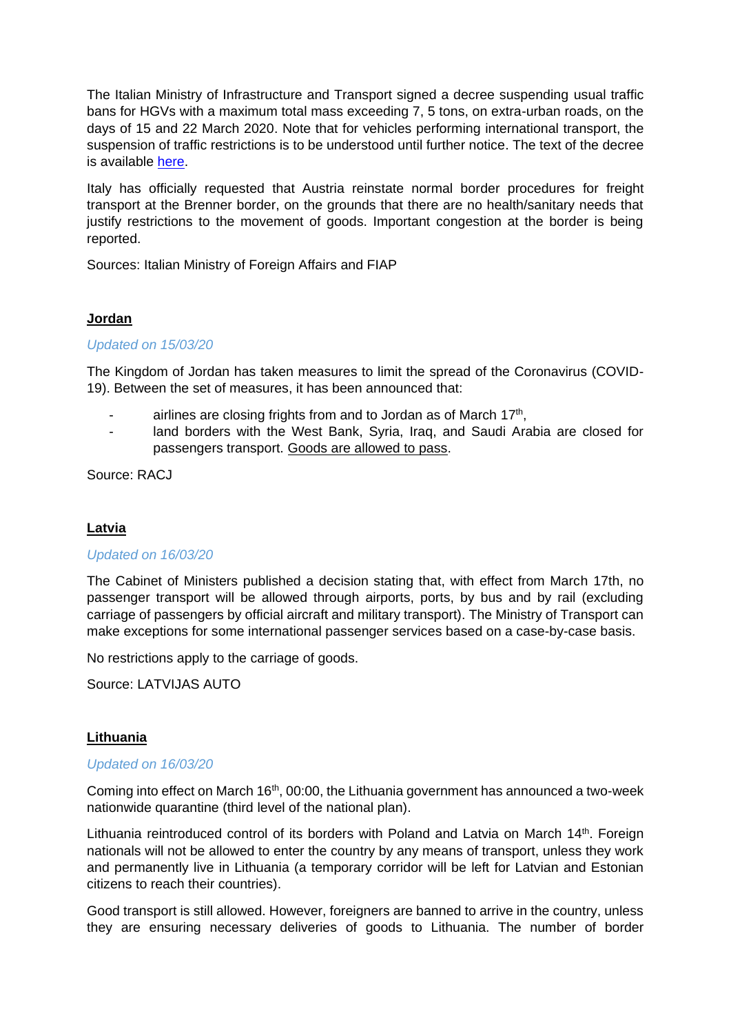The Italian Ministry of Infrastructure and Transport signed a decree suspending usual traffic bans for HGVs with a maximum total mass exceeding 7, 5 tons, on extra-urban roads, on the days of 15 and 22 March 2020. Note that for vehicles performing international transport, the suspension of traffic restrictions is to be understood until further notice. The text of the decree is available [here.](https://www.iru.org/apps/cms-filesystem-action?file=/flashinfo/Temporary%20lift%20of%20driving%20restrictions%20in%20Italy%2014.03.20.pdf)

Italy has officially requested that Austria reinstate normal border procedures for freight transport at the Brenner border, on the grounds that there are no health/sanitary needs that justify restrictions to the movement of goods. Important congestion at the border is being reported.

Sources: Italian Ministry of Foreign Affairs and FIAP

#### **Jordan**

#### *Updated on 15/03/20*

The Kingdom of Jordan has taken measures to limit the spread of the Coronavirus (COVID-19). Between the set of measures, it has been announced that:

- airlines are closing frights from and to Jordan as of March 17<sup>th</sup>,
- land borders with the West Bank, Syria, Iraq, and Saudi Arabia are closed for passengers transport. Goods are allowed to pass.

Source: RACJ

# **Latvia**

#### *Updated on 16/03/20*

The Cabinet of Ministers published a decision stating that, with effect from March 17th, no passenger transport will be allowed through airports, ports, by bus and by rail (excluding carriage of passengers by official aircraft and military transport). The Ministry of Transport can make exceptions for some international passenger services based on a case-by-case basis.

No restrictions apply to the carriage of goods.

Source: LATVIJAS AUTO

# **Lithuania**

#### *Updated on 16/03/20*

Coming into effect on March  $16<sup>th</sup>$ , 00:00, the Lithuania government has announced a two-week nationwide quarantine (third level of the national plan).

Lithuania reintroduced control of its borders with Poland and Latvia on March 14th. Foreign nationals will not be allowed to enter the country by any means of transport, unless they work and permanently live in Lithuania (a temporary corridor will be left for Latvian and Estonian citizens to reach their countries).

Good transport is still allowed. However, foreigners are banned to arrive in the country, unless they are ensuring necessary deliveries of goods to Lithuania. The number of border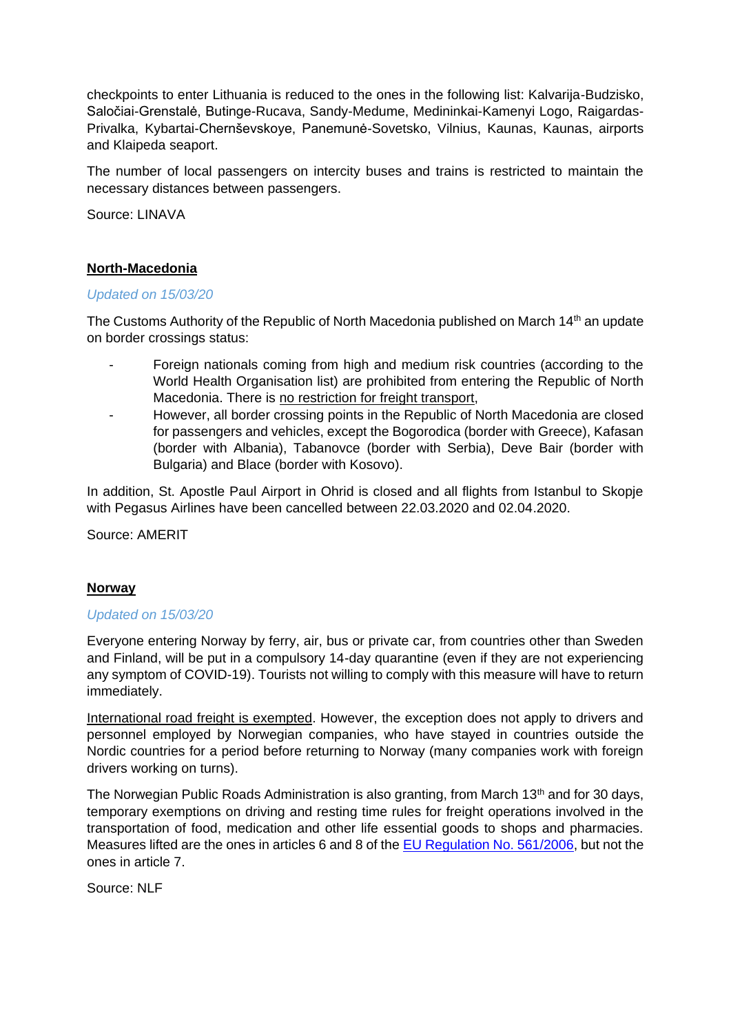checkpoints to enter Lithuania is reduced to the ones in the following list: Kalvarija-Budzisko, Saločiai-Grenstalė, Butinge-Rucava, Sandy-Medume, Medininkai-Kamenyi Logo, Raigardas-Privalka, Kybartai-Chernševskoye, Panemunė-Sovetsko, Vilnius, Kaunas, Kaunas, airports and Klaipeda seaport.

The number of local passengers on intercity buses and trains is restricted to maintain the necessary distances between passengers.

Source: LINAVA

# **North-Macedonia**

#### *Updated on 15/03/20*

The Customs Authority of the Republic of North Macedonia published on March 14<sup>th</sup> an update on border crossings status:

- Foreign nationals coming from high and medium risk countries (according to the World Health Organisation list) are prohibited from entering the Republic of North Macedonia. There is no restriction for freight transport,
- However, all border crossing points in the Republic of North Macedonia are closed for passengers and vehicles, except the Bogorodica (border with Greece), Kafasan (border with Albania), Tabanovce (border with Serbia), Deve Bair (border with Bulgaria) and Blace (border with Kosovo).

In addition, St. Apostle Paul Airport in Ohrid is closed and all flights from Istanbul to Skopje with Pegasus Airlines have been cancelled between 22.03.2020 and 02.04.2020.

Source: AMERIT

# **Norway**

# *Updated on 15/03/20*

Everyone entering Norway by ferry, air, bus or private car, from countries other than Sweden and Finland, will be put in a compulsory 14-day quarantine (even if they are not experiencing any symptom of COVID-19). Tourists not willing to comply with this measure will have to return immediately.

International road freight is exempted. However, the exception does not apply to drivers and personnel employed by Norwegian companies, who have stayed in countries outside the Nordic countries for a period before returning to Norway (many companies work with foreign drivers working on turns).

The Norwegian Public Roads Administration is also granting, from March 13<sup>th</sup> and for 30 days, temporary exemptions on driving and resting time rules for freight operations involved in the transportation of food, medication and other life essential goods to shops and pharmacies. Measures lifted are the ones in articles 6 and 8 of the **EU Regulation No. 561/2006**, but not the ones in article 7.

Source: NLF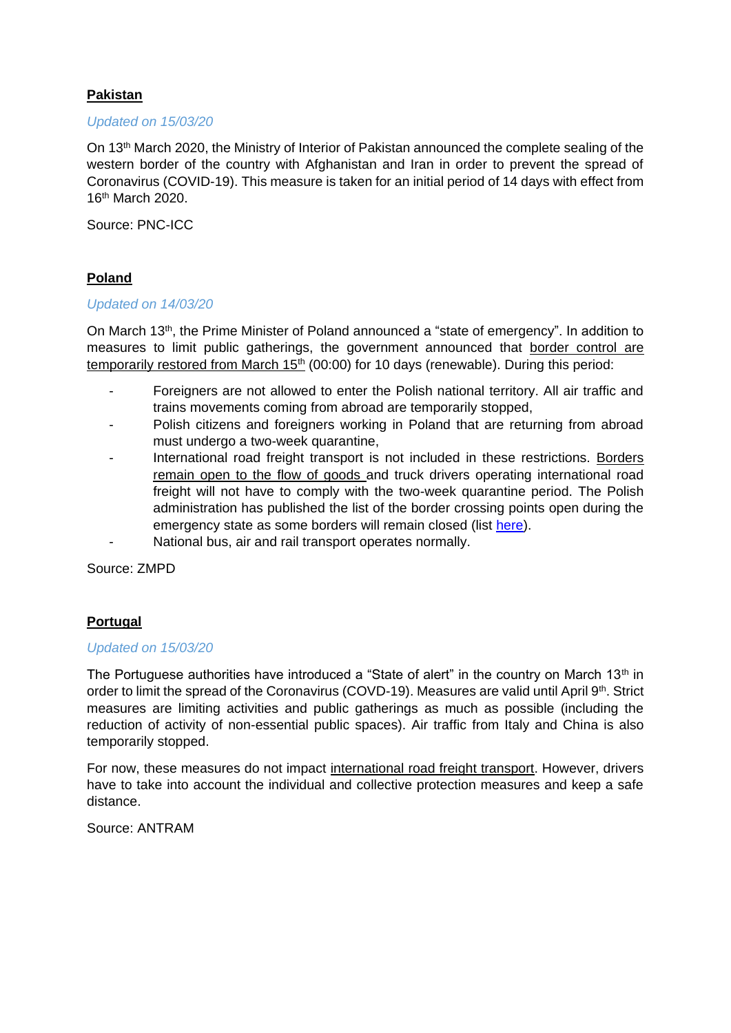# **Pakistan**

# *Updated on 15/03/20*

On 13th March 2020, the Ministry of Interior of Pakistan announced the complete sealing of the western border of the country with Afghanistan and Iran in order to prevent the spread of Coronavirus (COVID-19). This measure is taken for an initial period of 14 days with effect from 16th March 2020.

Source: PNC-ICC

# **Poland**

#### *Updated on 14/03/20*

On March 13<sup>th</sup>, the Prime Minister of Poland announced a "state of emergency". In addition to measures to limit public gatherings, the government announced that border control are temporarily restored from March 15<sup>th</sup> (00:00) for 10 days (renewable). During this period:

- Foreigners are not allowed to enter the Polish national territory. All air traffic and trains movements coming from abroad are temporarily stopped,
- Polish citizens and foreigners working in Poland that are returning from abroad must undergo a two-week quarantine,
- International road freight transport is not included in these restrictions. Borders remain open to the flow of goods and truck drivers operating international road freight will not have to comply with the two-week quarantine period. The Polish administration has published the list of the border crossing points open during the emergency state as some borders will remain closed (list [here\)](https://www.iru.org/apps/cms-filesystem-action?file=/flashinfo/Border%20crossings%20open%20in%20Poland%2014.03.20.pdf).
- National bus, air and rail transport operates normally.

Source: ZMPD

# **Portugal**

#### *Updated on 15/03/20*

The Portuguese authorities have introduced a "State of alert" in the country on March 13<sup>th</sup> in order to limit the spread of the Coronavirus (COVD-19). Measures are valid until April 9<sup>th</sup>. Strict measures are limiting activities and public gatherings as much as possible (including the reduction of activity of non-essential public spaces). Air traffic from Italy and China is also temporarily stopped.

For now, these measures do not impact international road freight transport. However, drivers have to take into account the individual and collective protection measures and keep a safe distance.

Source: ANTRAM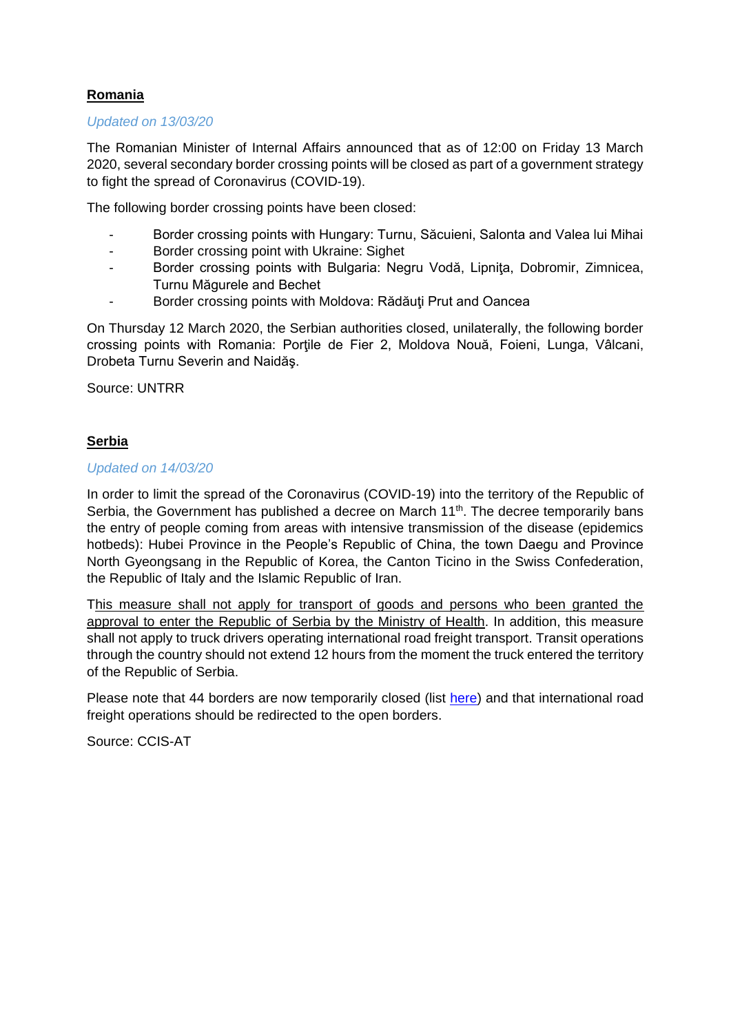# **Romania**

# *Updated on 13/03/20*

The Romanian Minister of Internal Affairs announced that as of 12:00 on Friday 13 March 2020, several secondary border crossing points will be closed as part of a government strategy to fight the spread of Coronavirus (COVID-19).

The following border crossing points have been closed:

- Border crossing points with Hungary: Turnu, Săcuieni, Salonta and Valea lui Mihai
- Border crossing point with Ukraine: Sighet
- Border crossing points with Bulgaria: Negru Vodă, Lipnita, Dobromir, Zimnicea, Turnu Măgurele and Bechet
- Border crossing points with Moldova: Rădăuți Prut and Oancea

On Thursday 12 March 2020, the Serbian authorities closed, unilaterally, the following border crossing points with Romania: Portile de Fier 2, Moldova Nouă, Foieni, Lunga, Vâlcani, Drobeta Turnu Severin and Naidăş.

Source: UNTRR

# **Serbia**

# *Updated on 14/03/20*

In order to limit the spread of the Coronavirus (COVID-19) into the territory of the Republic of Serbia, the Government has published a decree on March 11<sup>th</sup>. The decree temporarily bans the entry of people coming from areas with intensive transmission of the disease (epidemics hotbeds): Hubei Province in the People's Republic of China, the town Daegu and Province North Gyeongsang in the Republic of Korea, the Canton Ticino in the Swiss Confederation, the Republic of Italy and the Islamic Republic of Iran.

This measure shall not apply for transport of goods and persons who been granted the approval to enter the Republic of Serbia by the Ministry of Health. In addition, this measure shall not apply to truck drivers operating international road freight transport. Transit operations through the country should not extend 12 hours from the moment the truck entered the territory of the Republic of Serbia.

Please note that 44 borders are now temporarily closed (list [here\)](https://www.iru.org/apps/cms-filesystem-action?file=/flashinfo/Closed%20borders%20Serbia%2013.03.20.pdf) and that international road freight operations should be redirected to the open borders.

Source: CCIS-AT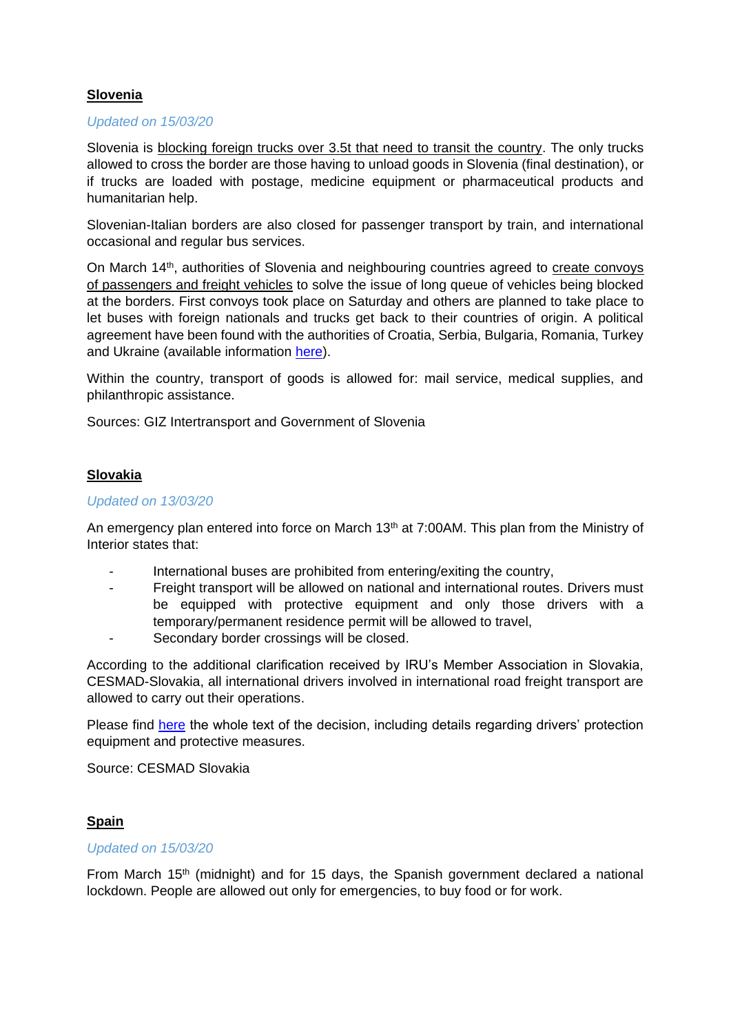# **Slovenia**

# *Updated on 15/03/20*

Slovenia is blocking foreign trucks over 3.5t that need to transit the country. The only trucks allowed to cross the border are those having to unload goods in Slovenia (final destination), or if trucks are loaded with postage, medicine equipment or pharmaceutical products and humanitarian help.

Slovenian-Italian borders are also closed for passenger transport by train, and international occasional and regular bus services.

On March 14<sup>th</sup>, authorities of Slovenia and neighbouring countries agreed to create convoys of passengers and freight vehicles to solve the issue of long queue of vehicles being blocked at the borders. First convoys took place on Saturday and others are planned to take place to let buses with foreign nationals and trucks get back to their countries of origin. A political agreement have been found with the authorities of Croatia, Serbia, Bulgaria, Romania, Turkey and Ukraine (available information [here\)](https://www.gov.si/novice/2020-03-14-krenil-prvi-humanitarni-konvoj-potnikov-in-tovornih-vozil-preko-slovenije/).

Within the country, transport of goods is allowed for: mail service, medical supplies, and philanthropic assistance.

Sources: GIZ Intertransport and Government of Slovenia

# **Slovakia**

#### *Updated on 13/03/20*

An emergency plan entered into force on March 13<sup>th</sup> at 7:00AM. This plan from the Ministry of Interior states that:

- International buses are prohibited from entering/exiting the country,
- Freight transport will be allowed on national and international routes. Drivers must be equipped with protective equipment and only those drivers with a temporary/permanent residence permit will be allowed to travel,
- Secondary border crossings will be closed.

According to the additional clarification received by IRU's Member Association in Slovakia, CESMAD-Slovakia, all international drivers involved in international road freight transport are allowed to carry out their operations.

Please find [here](https://www.iru.org/apps/cms-filesystem-action?file=/flashinfo/Public%20order%20Slovakia%2013.03.20.pdf) the whole text of the decision, including details regarding drivers' protection equipment and protective measures.

Source: CESMAD Slovakia

# **Spain**

#### *Updated on 15/03/20*

From March  $15<sup>th</sup>$  (midnight) and for 15 days, the Spanish government declared a national lockdown. People are allowed out only for emergencies, to buy food or for work.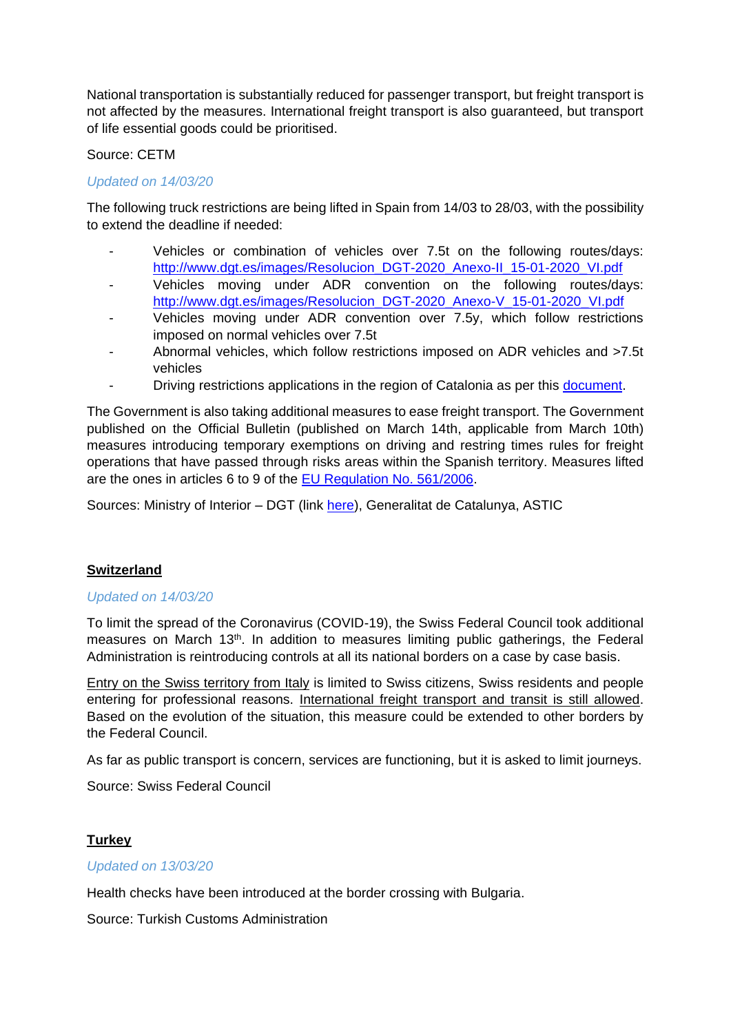National transportation is substantially reduced for passenger transport, but freight transport is not affected by the measures. International freight transport is also guaranteed, but transport of life essential goods could be prioritised.

Source: CETM

# *Updated on 14/03/20*

The following truck restrictions are being lifted in Spain from 14/03 to 28/03, with the possibility to extend the deadline if needed:

- Vehicles or combination of vehicles over 7.5t on the following routes/days: [http://www.dgt.es/images/Resolucion\\_DGT-2020\\_Anexo-II\\_15-01-2020\\_VI.pdf](http://www.dgt.es/images/Resolucion_DGT-2020_Anexo-II_15-01-2020_VI.pdf)
- Vehicles moving under ADR convention on the following routes/days: http://www.dqt.es/images/Resolucion\_DGT-2020\_Anexo-V\_15-01-2020\_VI.pdf
- Vehicles moving under ADR convention over 7.5y, which follow restrictions imposed on normal vehicles over 7.5t
- Abnormal vehicles, which follow restrictions imposed on ADR vehicles and >7.5t vehicles
- Driving restrictions applications in the region of Catalonia as per this [document.](https://www.iru.org/apps/cms-filesystem-action?file=/flashinfo/Temporary%20lift%20of%20diving%20restrictions%20Catalonia%2014.03.20.pdf)

The Government is also taking additional measures to ease freight transport. The Government published on the Official Bulletin (published on March 14th, applicable from March 10th) measures introducing temporary exemptions on driving and restring times rules for freight operations that have passed through risks areas within the Spanish territory. Measures lifted are the ones in articles 6 to 9 of the [EU Regulation No. 561/2006.](https://www.iru.org/apps/cms-filesystem-action?file=/flashinfo/EU%20Regulation%20No.%20561%202006.pdf)

Sources: Ministry of Interior – DGT (link [here\)](http://www.dgt.es/es/prensa/notas-de-prensa/2020/Medidas_preventivas_adoptadas_por_la_Direccion_General_de_Trafico_como_consecuencia_del_COVID19.shtml), Generalitat de Catalunya, ASTIC

# **Switzerland**

# *Updated on 14/03/20*

To limit the spread of the Coronavirus (COVID-19), the Swiss Federal Council took additional measures on March 13<sup>th</sup>. In addition to measures limiting public gatherings, the Federal Administration is reintroducing controls at all its national borders on a case by case basis.

Entry on the Swiss territory from Italy is limited to Swiss citizens, Swiss residents and people entering for professional reasons. International freight transport and transit is still allowed. Based on the evolution of the situation, this measure could be extended to other borders by the Federal Council.

As far as public transport is concern, services are functioning, but it is asked to limit journeys.

Source: Swiss Federal Council

# **Turkey**

# *Updated on 13/03/20*

Health checks have been introduced at the border crossing with Bulgaria.

Source: Turkish Customs Administration